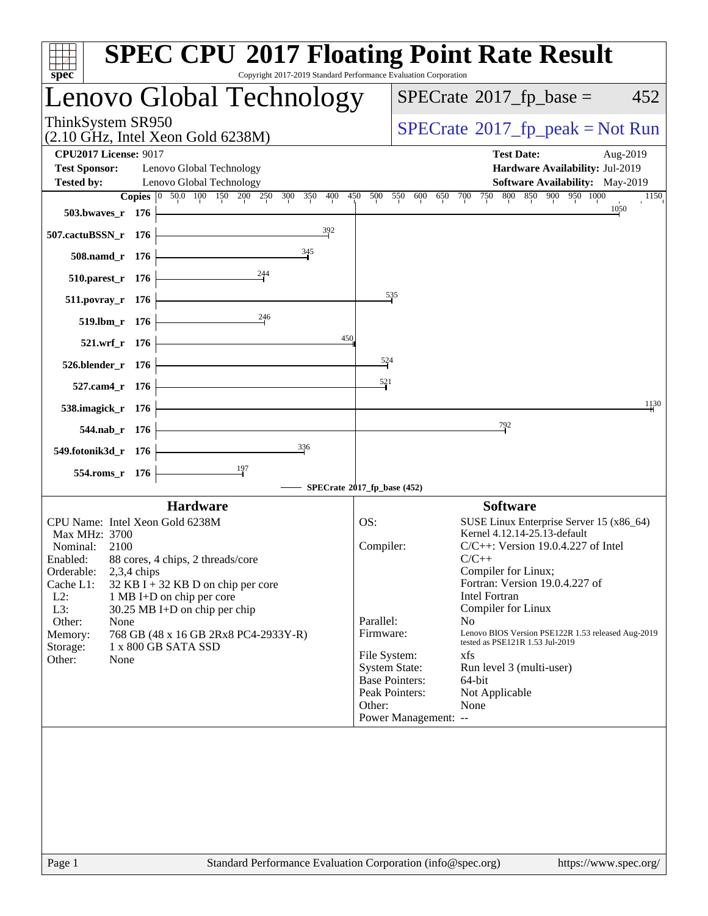| Copyright 2017-2019 Standard Performance Evaluation Corporation<br>$spec^*$                                                                                                       | <b>SPEC CPU®2017 Floating Point Rate Result</b>                                                                                                                   |
|-----------------------------------------------------------------------------------------------------------------------------------------------------------------------------------|-------------------------------------------------------------------------------------------------------------------------------------------------------------------|
| Lenovo Global Technology                                                                                                                                                          | $SPECrate^{\circ}2017$ fp base =<br>452                                                                                                                           |
| ThinkSystem SR950<br>$(2.10 \text{ GHz}, \text{Intel Xeon Gold } 6238\text{M})$                                                                                                   | $SPECrate^{\circ}2017$ [p_peak = Not Run                                                                                                                          |
| <b>CPU2017 License: 9017</b><br><b>Test Sponsor:</b><br>Lenovo Global Technology                                                                                                  | <b>Test Date:</b><br>Aug-2019<br>Hardware Availability: Jul-2019                                                                                                  |
| Lenovo Global Technology<br><b>Tested by:</b>                                                                                                                                     | Software Availability: May-2019                                                                                                                                   |
| Copies 0 50.0 100 150 200 250<br>300<br>350<br>400                                                                                                                                | 850 900 950 1000<br>800<br>450<br>500<br>550<br>650 700<br>750<br>600<br>1150                                                                                     |
| 503.bwaves_r 176                                                                                                                                                                  | 1050                                                                                                                                                              |
| 392<br>507.cactuBSSN_r 176                                                                                                                                                        |                                                                                                                                                                   |
| $\frac{345}{9}$<br>508.namd_r 176<br>244                                                                                                                                          |                                                                                                                                                                   |
| 510.parest_r 176                                                                                                                                                                  | $\frac{535}{2}$                                                                                                                                                   |
| 511.povray_r 176<br>246                                                                                                                                                           |                                                                                                                                                                   |
| 519.lbm_r 176<br>450<br>521.wrf_r 176                                                                                                                                             |                                                                                                                                                                   |
| 526.blender_r 176                                                                                                                                                                 | $\frac{524}{52}$                                                                                                                                                  |
| 527.cam4_r 176                                                                                                                                                                    | 521                                                                                                                                                               |
| 538.imagick_r 176                                                                                                                                                                 | 1130                                                                                                                                                              |
| 544.nab_r 176                                                                                                                                                                     | 792                                                                                                                                                               |
| 336<br>549.fotonik3d_r 176                                                                                                                                                        |                                                                                                                                                                   |
| 554.roms_r 176                                                                                                                                                                    |                                                                                                                                                                   |
|                                                                                                                                                                                   | SPECrate®2017_fp_base (452)                                                                                                                                       |
| <b>Hardware</b>                                                                                                                                                                   | <b>Software</b>                                                                                                                                                   |
| CPU Name: Intel Xeon Gold 6238M<br>Max MHz: 3700<br>Nominal:<br>2100<br>Enabled: 88 cores, 4 chips, 2 threads/core                                                                | OS:<br>SUSE Linux Enterprise Server 15 (x86_64)<br>Kernel 4.12.14-25.13-default<br>Compiler:<br>$C/C++$ : Version 19.0.4.227 of Intel<br>$C/C++$                  |
| Orderable:<br>$2,3,4$ chips<br>Cache L1:<br>$32$ KB I + 32 KB D on chip per core<br>$L2$ :<br>1 MB I+D on chip per core<br>L3:<br>30.25 MB I+D on chip per chip<br>Other:<br>None | Compiler for Linux;<br>Fortran: Version 19.0.4.227 of<br><b>Intel Fortran</b><br>Compiler for Linux<br>Parallel:<br>N <sub>o</sub>                                |
| 768 GB (48 x 16 GB 2Rx8 PC4-2933Y-R)<br>Memory:<br>1 x 800 GB SATA SSD<br>Storage:<br>Other:<br>None                                                                              | Lenovo BIOS Version PSE122R 1.53 released Aug-2019<br>Firmware:<br>tested as PSE121R 1.53 Jul-2019<br>File System:<br>xfs                                         |
|                                                                                                                                                                                   | <b>System State:</b><br>Run level 3 (multi-user)<br><b>Base Pointers:</b><br>64-bit<br>Peak Pointers:<br>Not Applicable<br>Other:<br>None<br>Power Management: -- |
| Standard Performance Evaluation Corporation (info@spec.org)<br>Page 1                                                                                                             | https://www.spec.org/                                                                                                                                             |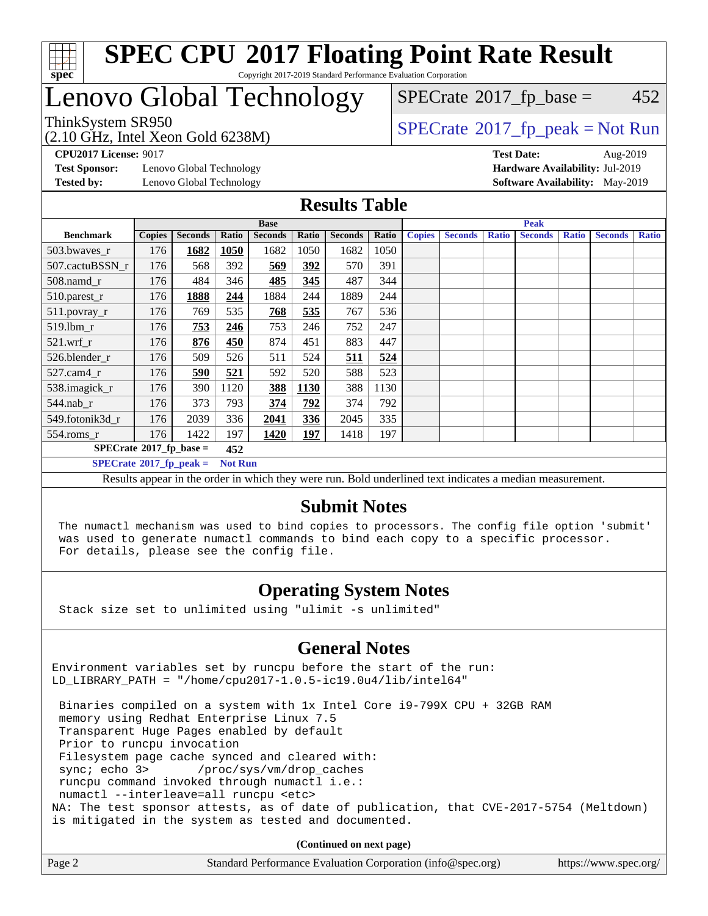

#### **[SPEC CPU](http://www.spec.org/auto/cpu2017/Docs/result-fields.html#SPECCPU2017FloatingPointRateResult)[2017 Floating Point Rate Result](http://www.spec.org/auto/cpu2017/Docs/result-fields.html#SPECCPU2017FloatingPointRateResult)** Copyright 2017-2019 Standard Performance Evaluation Corporation

# Lenovo Global Technology

(2.10 GHz, Intel Xeon Gold 6238M)

 $SPECTate@2017_fp_peak = Not Run$  $SPECTate@2017_fp_peak = Not Run$  $SPECTate@2017_fp_peak = Not Run$  $SPECTate@2017_fp\_base = 452$ 

**[Test Sponsor:](http://www.spec.org/auto/cpu2017/Docs/result-fields.html#TestSponsor)** Lenovo Global Technology **[Hardware Availability:](http://www.spec.org/auto/cpu2017/Docs/result-fields.html#HardwareAvailability)** Jul-2019 **[Tested by:](http://www.spec.org/auto/cpu2017/Docs/result-fields.html#Testedby)** Lenovo Global Technology **[Software Availability:](http://www.spec.org/auto/cpu2017/Docs/result-fields.html#SoftwareAvailability)** May-2019

**[CPU2017 License:](http://www.spec.org/auto/cpu2017/Docs/result-fields.html#CPU2017License)** 9017 **[Test Date:](http://www.spec.org/auto/cpu2017/Docs/result-fields.html#TestDate)** Aug-2019

#### **[Results Table](http://www.spec.org/auto/cpu2017/Docs/result-fields.html#ResultsTable)**

|                                  |               |                |                | <b>Base</b>    |       |                |       |               | <b>Peak</b>    |              |                |              |                |              |  |
|----------------------------------|---------------|----------------|----------------|----------------|-------|----------------|-------|---------------|----------------|--------------|----------------|--------------|----------------|--------------|--|
| <b>Benchmark</b>                 | <b>Copies</b> | <b>Seconds</b> | Ratio          | <b>Seconds</b> | Ratio | <b>Seconds</b> | Ratio | <b>Copies</b> | <b>Seconds</b> | <b>Ratio</b> | <b>Seconds</b> | <b>Ratio</b> | <b>Seconds</b> | <b>Ratio</b> |  |
| 503.bwayes_r                     | 176           | 1682           | 1050           | 1682           | 1050  | 1682           | 1050  |               |                |              |                |              |                |              |  |
| 507.cactuBSSN r                  | 176           | 568            | 392            | 569            | 392   | 570            | 391   |               |                |              |                |              |                |              |  |
| $508$ .namd $r$                  | 176           | 484            | 346            | 485            | 345   | 487            | 344   |               |                |              |                |              |                |              |  |
| 510.parest_r                     | 176           | 1888           | 244            | 1884           | 244   | 1889           | 244   |               |                |              |                |              |                |              |  |
| 511.povray_r                     | 176           | 769            | 535            | 768            | 535   | 767            | 536   |               |                |              |                |              |                |              |  |
| 519.lbm r                        | 176           | 753            | 246            | 753            | 246   | 752            | 247   |               |                |              |                |              |                |              |  |
| $521.wrf_r$                      | 176           | 876            | 450            | 874            | 451   | 883            | 447   |               |                |              |                |              |                |              |  |
| 526.blender r                    | 176           | 509            | 526            | 511            | 524   | 511            | 524   |               |                |              |                |              |                |              |  |
| $527$ .cam $4r$                  | 176           | 590            | 521            | 592            | 520   | 588            | 523   |               |                |              |                |              |                |              |  |
| 538.imagick_r                    | 176           | 390            | 1120           | 388            | 1130  | 388            | 1130  |               |                |              |                |              |                |              |  |
| $544$ .nab_r                     | 176           | 373            | 793            | 374            | 792   | 374            | 792   |               |                |              |                |              |                |              |  |
| 549.fotonik3d r                  | 176           | 2039           | 336            | 2041           | 336   | 2045           | 335   |               |                |              |                |              |                |              |  |
| $554$ .roms_r                    | 176           | 1422           | 197            | 1420           | 197   | 1418           | 197   |               |                |              |                |              |                |              |  |
| $SPECrate*2017_fp\_base =$       |               |                | 452            |                |       |                |       |               |                |              |                |              |                |              |  |
| $SPECrate^{\circ}2017$ fp peak = |               |                | <b>Not Run</b> |                |       |                |       |               |                |              |                |              |                |              |  |

Results appear in the [order in which they were run](http://www.spec.org/auto/cpu2017/Docs/result-fields.html#RunOrder). Bold underlined text [indicates a median measurement.](http://www.spec.org/auto/cpu2017/Docs/result-fields.html#Median)

#### **[Submit Notes](http://www.spec.org/auto/cpu2017/Docs/result-fields.html#SubmitNotes)**

 The numactl mechanism was used to bind copies to processors. The config file option 'submit' was used to generate numactl commands to bind each copy to a specific processor. For details, please see the config file.

#### **[Operating System Notes](http://www.spec.org/auto/cpu2017/Docs/result-fields.html#OperatingSystemNotes)**

Stack size set to unlimited using "ulimit -s unlimited"

#### **[General Notes](http://www.spec.org/auto/cpu2017/Docs/result-fields.html#GeneralNotes)**

Environment variables set by runcpu before the start of the run: LD\_LIBRARY\_PATH = "/home/cpu2017-1.0.5-ic19.0u4/lib/intel64"

 Binaries compiled on a system with 1x Intel Core i9-799X CPU + 32GB RAM memory using Redhat Enterprise Linux 7.5 Transparent Huge Pages enabled by default Prior to runcpu invocation Filesystem page cache synced and cleared with: sync; echo 3> /proc/sys/vm/drop\_caches runcpu command invoked through numactl i.e.: numactl --interleave=all runcpu <etc> NA: The test sponsor attests, as of date of publication, that CVE-2017-5754 (Meltdown) is mitigated in the system as tested and documented.

**(Continued on next page)**

| Page 2<br>Standard Performance Evaluation Corporation (info@spec.org) | https://www.spec.org/ |
|-----------------------------------------------------------------------|-----------------------|
|-----------------------------------------------------------------------|-----------------------|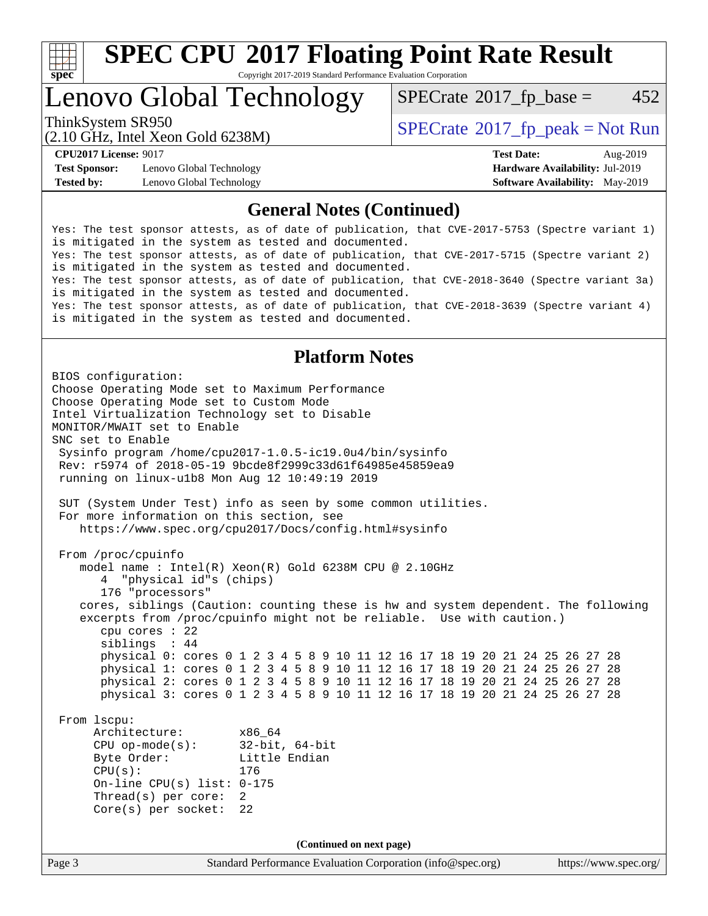

Copyright 2017-2019 Standard Performance Evaluation Corporation

## Lenovo Global Technology

 $SPECTate@2017_fp\_base = 452$ 

(2.10 GHz, Intel Xeon Gold 6238M)

ThinkSystem SR950<br>  $SPECTR_{10}$  [SPECrate](http://www.spec.org/auto/cpu2017/Docs/result-fields.html#SPECrate2017fppeak)®[2017\\_fp\\_peak = N](http://www.spec.org/auto/cpu2017/Docs/result-fields.html#SPECrate2017fppeak)ot Run

**[Test Sponsor:](http://www.spec.org/auto/cpu2017/Docs/result-fields.html#TestSponsor)** Lenovo Global Technology **[Hardware Availability:](http://www.spec.org/auto/cpu2017/Docs/result-fields.html#HardwareAvailability)** Jul-2019 **[Tested by:](http://www.spec.org/auto/cpu2017/Docs/result-fields.html#Testedby)** Lenovo Global Technology **[Software Availability:](http://www.spec.org/auto/cpu2017/Docs/result-fields.html#SoftwareAvailability)** May-2019

**[CPU2017 License:](http://www.spec.org/auto/cpu2017/Docs/result-fields.html#CPU2017License)** 9017 **[Test Date:](http://www.spec.org/auto/cpu2017/Docs/result-fields.html#TestDate)** Aug-2019

#### **[General Notes \(Continued\)](http://www.spec.org/auto/cpu2017/Docs/result-fields.html#GeneralNotes)**

Yes: The test sponsor attests, as of date of publication, that CVE-2017-5753 (Spectre variant 1) is mitigated in the system as tested and documented. Yes: The test sponsor attests, as of date of publication, that CVE-2017-5715 (Spectre variant 2) is mitigated in the system as tested and documented. Yes: The test sponsor attests, as of date of publication, that CVE-2018-3640 (Spectre variant 3a) is mitigated in the system as tested and documented. Yes: The test sponsor attests, as of date of publication, that CVE-2018-3639 (Spectre variant 4) is mitigated in the system as tested and documented.

#### **[Platform Notes](http://www.spec.org/auto/cpu2017/Docs/result-fields.html#PlatformNotes)**

Page 3 Standard Performance Evaluation Corporation [\(info@spec.org\)](mailto:info@spec.org) <https://www.spec.org/> BIOS configuration: Choose Operating Mode set to Maximum Performance Choose Operating Mode set to Custom Mode Intel Virtualization Technology set to Disable MONITOR/MWAIT set to Enable SNC set to Enable Sysinfo program /home/cpu2017-1.0.5-ic19.0u4/bin/sysinfo Rev: r5974 of 2018-05-19 9bcde8f2999c33d61f64985e45859ea9 running on linux-u1b8 Mon Aug 12 10:49:19 2019 SUT (System Under Test) info as seen by some common utilities. For more information on this section, see <https://www.spec.org/cpu2017/Docs/config.html#sysinfo> From /proc/cpuinfo model name : Intel(R) Xeon(R) Gold 6238M CPU @ 2.10GHz 4 "physical id"s (chips) 176 "processors" cores, siblings (Caution: counting these is hw and system dependent. The following excerpts from /proc/cpuinfo might not be reliable. Use with caution.) cpu cores : 22 siblings : 44 physical 0: cores 0 1 2 3 4 5 8 9 10 11 12 16 17 18 19 20 21 24 25 26 27 28 physical 1: cores 0 1 2 3 4 5 8 9 10 11 12 16 17 18 19 20 21 24 25 26 27 28 physical 2: cores 0 1 2 3 4 5 8 9 10 11 12 16 17 18 19 20 21 24 25 26 27 28 physical 3: cores 0 1 2 3 4 5 8 9 10 11 12 16 17 18 19 20 21 24 25 26 27 28 From lscpu: Architecture: x86\_64 CPU op-mode(s): 32-bit, 64-bit Byte Order: Little Endian CPU(s): 176 On-line CPU(s) list: 0-175 Thread(s) per core: 2 Core(s) per socket: 22 **(Continued on next page)**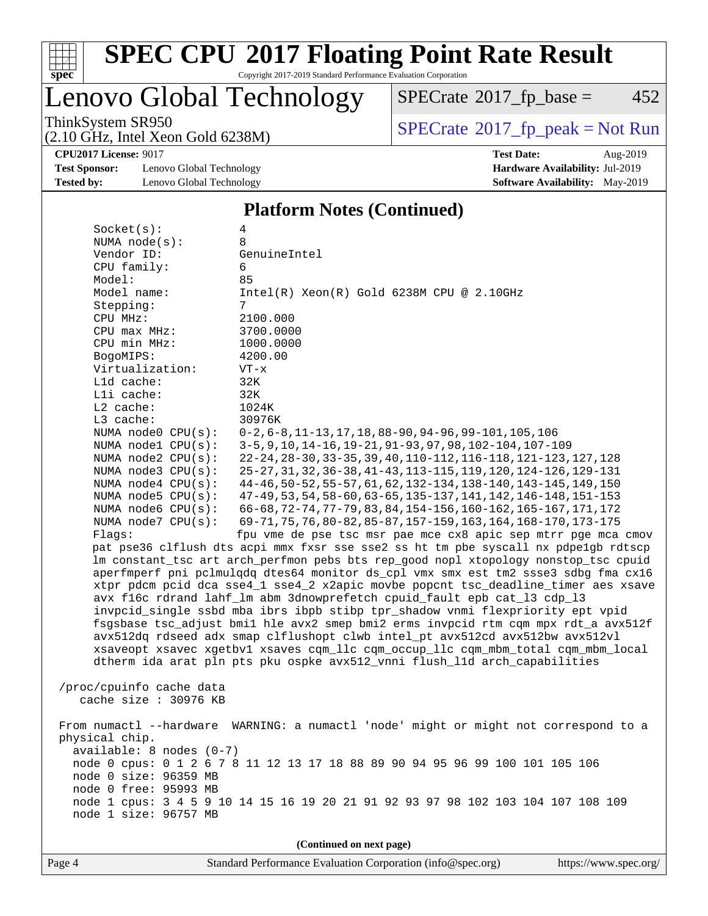

Copyright 2017-2019 Standard Performance Evaluation Corporation

### Lenovo Global Technology

 $SPECTate@2017_fp\_base = 452$ 

(2.10 GHz, Intel Xeon Gold 6238M)

ThinkSystem SR950<br>  $(2.10 \text{ GHz} \text{ Intel } X_{\text{eon}} \text{ Gold } 6238M)$   $\vert$  [SPECrate](http://www.spec.org/auto/cpu2017/Docs/result-fields.html#SPECrate2017fppeak)®[2017\\_fp\\_peak = N](http://www.spec.org/auto/cpu2017/Docs/result-fields.html#SPECrate2017fppeak)ot Run

**[CPU2017 License:](http://www.spec.org/auto/cpu2017/Docs/result-fields.html#CPU2017License)** 9017 **[Test Date:](http://www.spec.org/auto/cpu2017/Docs/result-fields.html#TestDate)** Aug-2019

**[Test Sponsor:](http://www.spec.org/auto/cpu2017/Docs/result-fields.html#TestSponsor)** Lenovo Global Technology **[Hardware Availability:](http://www.spec.org/auto/cpu2017/Docs/result-fields.html#HardwareAvailability)** Jul-2019 **[Tested by:](http://www.spec.org/auto/cpu2017/Docs/result-fields.html#Testedby)** Lenovo Global Technology **[Software Availability:](http://www.spec.org/auto/cpu2017/Docs/result-fields.html#SoftwareAvailability)** May-2019

### **[Platform Notes \(Continued\)](http://www.spec.org/auto/cpu2017/Docs/result-fields.html#PlatformNotes)**

 Socket(s): 4 NUMA node(s): 8<br>Vendor ID: G GenuineIntel CPU family: 6 Model: 85 Model name: Intel(R) Xeon(R) Gold 6238M CPU @ 2.10GHz Stepping: CPU MHz: 2100.000 CPU max MHz: 3700.0000 CPU min MHz: 1000.0000 BogoMIPS: 4200.00 Virtualization: VT-x L1d cache: 32K L1i cache: 32K L2 cache: 1024K L3 cache: 30976K NUMA node0 CPU(s): 0-2,6-8,11-13,17,18,88-90,94-96,99-101,105,106<br>NUMA node1 CPU(s): 3-5,9,10,14-16,19-21,91-93,97,98,102-104,107-1 NUMA node1 CPU(s): 3-5,9,10,14-16,19-21,91-93,97,98,102-104,107-109<br>NUMA node2 CPU(s): 22-24,28-30,33-35,39,40,110-112,116-118,121-123, NUMA node2 CPU(s): 22-24,28-30,33-35,39,40,110-112,116-118,121-123,127,128 NUMA node3 CPU(s): 25-27,31,32,36-38,41-43,113-115,119,120,124-126,129-131 NUMA node4 CPU(s): 44-46,50-52,55-57,61,62,132-134,138-140,143-145,149,150 NUMA node5 CPU(s): 47-49,53,54,58-60,63-65,135-137,141,142,146-148,151-153 NUMA node6 CPU(s): 66-68,72-74,77-79,83,84,154-156,160-162,165-167,171,172 NUMA node7 CPU(s): 69-71,75,76,80-82,85-87,157-159,163,164,168-170,173-175 Flags: fpu vme de pse tsc msr pae mce cx8 apic sep mtrr pge mca cmov pat pse36 clflush dts acpi mmx fxsr sse sse2 ss ht tm pbe syscall nx pdpe1gb rdtscp lm constant\_tsc art arch\_perfmon pebs bts rep\_good nopl xtopology nonstop\_tsc cpuid aperfmperf pni pclmulqdq dtes64 monitor ds\_cpl vmx smx est tm2 ssse3 sdbg fma cx16 xtpr pdcm pcid dca sse4\_1 sse4\_2 x2apic movbe popcnt tsc\_deadline\_timer aes xsave avx f16c rdrand lahf\_lm abm 3dnowprefetch cpuid\_fault epb cat\_l3 cdp\_l3 invpcid\_single ssbd mba ibrs ibpb stibp tpr\_shadow vnmi flexpriority ept vpid fsgsbase tsc\_adjust bmi1 hle avx2 smep bmi2 erms invpcid rtm cqm mpx rdt\_a avx512f avx512dq rdseed adx smap clflushopt clwb intel\_pt avx512cd avx512bw avx512vl xsaveopt xsavec xgetbv1 xsaves cqm\_llc cqm\_occup\_llc cqm\_mbm\_total cqm\_mbm\_local dtherm ida arat pln pts pku ospke avx512\_vnni flush\_l1d arch\_capabilities /proc/cpuinfo cache data cache size : 30976 KB From numactl --hardware WARNING: a numactl 'node' might or might not correspond to a physical chip. available: 8 nodes (0-7) node 0 cpus: 0 1 2 6 7 8 11 12 13 17 18 88 89 90 94 95 96 99 100 101 105 106 node 0 size: 96359 MB node 0 free: 95993 MB node 1 cpus: 3 4 5 9 10 14 15 16 19 20 21 91 92 93 97 98 102 103 104 107 108 109 node 1 size: 96757 MB **(Continued on next page)**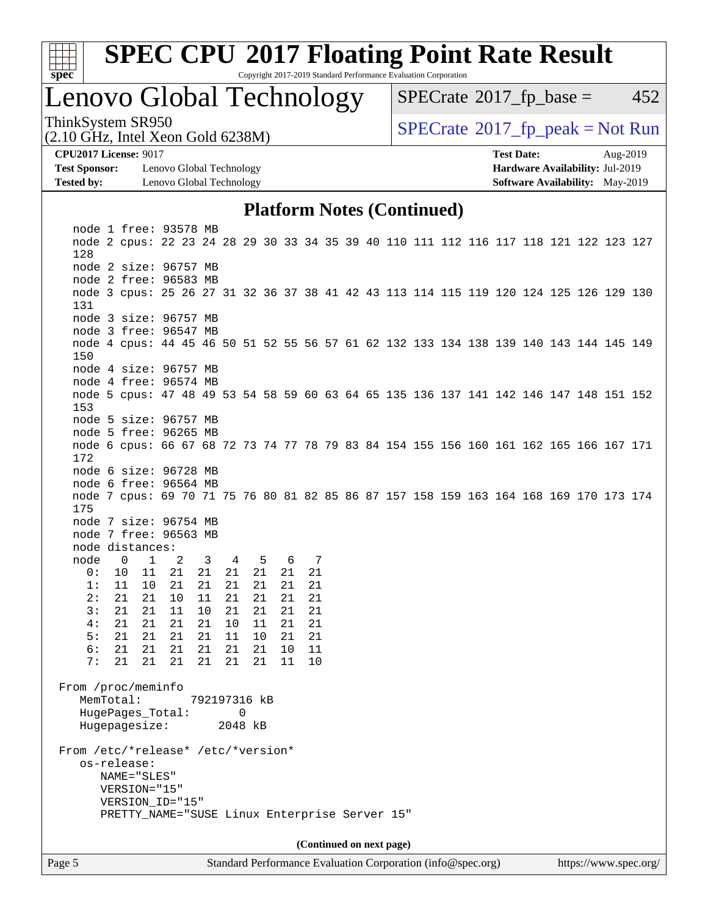

Copyright 2017-2019 Standard Performance Evaluation Corporation

## Lenovo Global Technology

 $SPECTate@2017_fp\_base = 452$ 

(2.10 GHz, Intel Xeon Gold 6238M)

ThinkSystem SR950<br>  $SPECTR_{10}$  [SPECrate](http://www.spec.org/auto/cpu2017/Docs/result-fields.html#SPECrate2017fppeak)®[2017\\_fp\\_peak = N](http://www.spec.org/auto/cpu2017/Docs/result-fields.html#SPECrate2017fppeak)ot Run

**[Test Sponsor:](http://www.spec.org/auto/cpu2017/Docs/result-fields.html#TestSponsor)** Lenovo Global Technology **[Hardware Availability:](http://www.spec.org/auto/cpu2017/Docs/result-fields.html#HardwareAvailability)** Jul-2019 **[Tested by:](http://www.spec.org/auto/cpu2017/Docs/result-fields.html#Testedby)** Lenovo Global Technology **[Software Availability:](http://www.spec.org/auto/cpu2017/Docs/result-fields.html#SoftwareAvailability)** May-2019

**[CPU2017 License:](http://www.spec.org/auto/cpu2017/Docs/result-fields.html#CPU2017License)** 9017 **[Test Date:](http://www.spec.org/auto/cpu2017/Docs/result-fields.html#TestDate)** Aug-2019

#### **[Platform Notes \(Continued\)](http://www.spec.org/auto/cpu2017/Docs/result-fields.html#PlatformNotes)**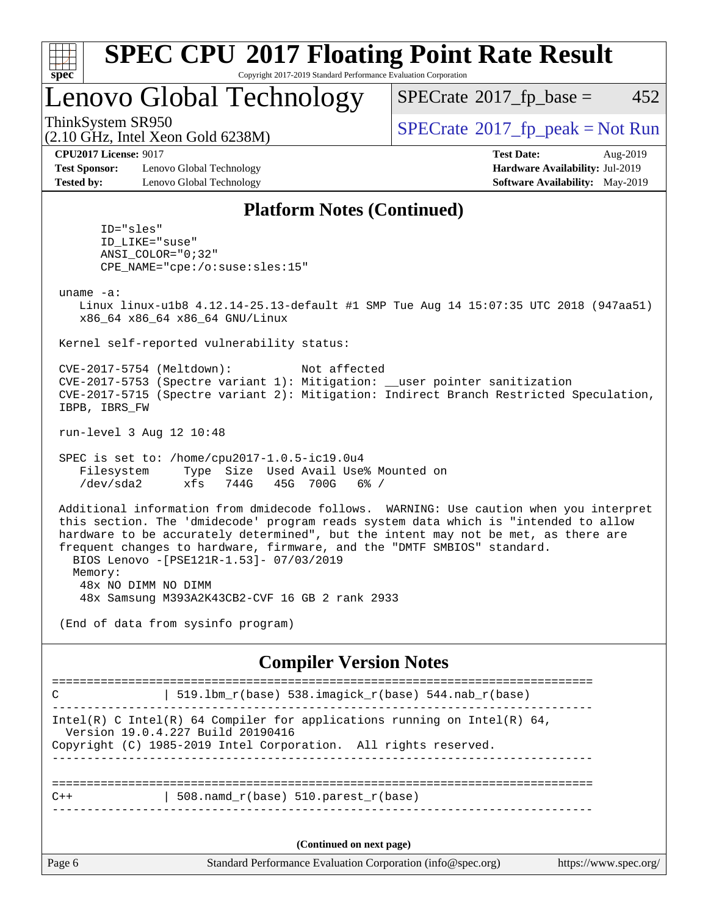

Copyright 2017-2019 Standard Performance Evaluation Corporation

## Lenovo Global Technology

 $SPECTate@2017_fp\_base = 452$ 

(2.10 GHz, Intel Xeon Gold 6238M)

ThinkSystem SR950<br>  $SPECTR_{10}$  [SPECrate](http://www.spec.org/auto/cpu2017/Docs/result-fields.html#SPECrate2017fppeak)®[2017\\_fp\\_peak = N](http://www.spec.org/auto/cpu2017/Docs/result-fields.html#SPECrate2017fppeak)ot Run

**[CPU2017 License:](http://www.spec.org/auto/cpu2017/Docs/result-fields.html#CPU2017License)** 9017 **[Test Date:](http://www.spec.org/auto/cpu2017/Docs/result-fields.html#TestDate)** Aug-2019

**[Test Sponsor:](http://www.spec.org/auto/cpu2017/Docs/result-fields.html#TestSponsor)** Lenovo Global Technology **[Hardware Availability:](http://www.spec.org/auto/cpu2017/Docs/result-fields.html#HardwareAvailability)** Jul-2019 **[Tested by:](http://www.spec.org/auto/cpu2017/Docs/result-fields.html#Testedby)** Lenovo Global Technology **[Software Availability:](http://www.spec.org/auto/cpu2017/Docs/result-fields.html#SoftwareAvailability)** May-2019

#### **[Platform Notes \(Continued\)](http://www.spec.org/auto/cpu2017/Docs/result-fields.html#PlatformNotes)**

 ID="sles" ID\_LIKE="suse" ANSI\_COLOR="0;32" CPE\_NAME="cpe:/o:suse:sles:15"

uname -a:

 Linux linux-u1b8 4.12.14-25.13-default #1 SMP Tue Aug 14 15:07:35 UTC 2018 (947aa51) x86\_64 x86\_64 x86\_64 GNU/Linux

Kernel self-reported vulnerability status:

 CVE-2017-5754 (Meltdown): Not affected CVE-2017-5753 (Spectre variant 1): Mitigation: \_\_user pointer sanitization CVE-2017-5715 (Spectre variant 2): Mitigation: Indirect Branch Restricted Speculation, IBPB, IBRS\_FW

run-level 3 Aug 12 10:48

 SPEC is set to: /home/cpu2017-1.0.5-ic19.0u4 Filesystem Type Size Used Avail Use% Mounted on /dev/sda2 xfs 744G 45G 700G 6% /

 Additional information from dmidecode follows. WARNING: Use caution when you interpret this section. The 'dmidecode' program reads system data which is "intended to allow hardware to be accurately determined", but the intent may not be met, as there are frequent changes to hardware, firmware, and the "DMTF SMBIOS" standard. BIOS Lenovo -[PSE121R-1.53]- 07/03/2019 Memory: 48x NO DIMM NO DIMM 48x Samsung M393A2K43CB2-CVF 16 GB 2 rank 2933

(End of data from sysinfo program)

#### **[Compiler Version Notes](http://www.spec.org/auto/cpu2017/Docs/result-fields.html#CompilerVersionNotes)**

Page 6 Standard Performance Evaluation Corporation [\(info@spec.org\)](mailto:info@spec.org) <https://www.spec.org/> ============================================================================== C  $| 519.1bm_r(base) 538.imagick_r(base) 544.nab_r(base)$ ------------------------------------------------------------------------------ Intel(R) C Intel(R) 64 Compiler for applications running on Intel(R)  $64$ , Version 19.0.4.227 Build 20190416 Copyright (C) 1985-2019 Intel Corporation. All rights reserved. ------------------------------------------------------------------------------ ==============================================================================  $C++$  | 508.namd\_r(base) 510.parest\_r(base) ------------------------------------------------------------------------------ **(Continued on next page)**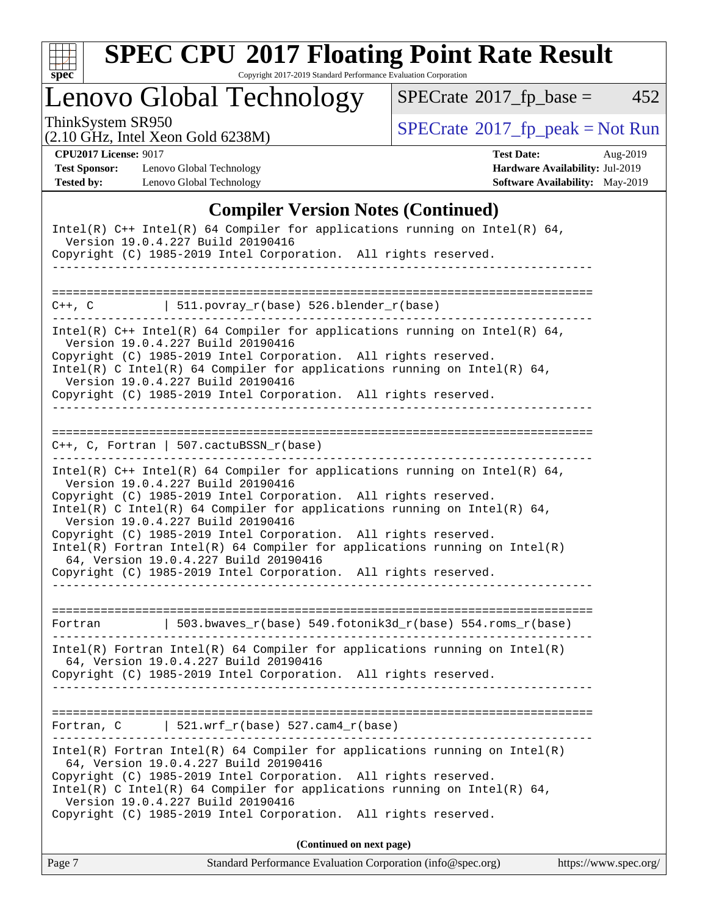

Copyright 2017-2019 Standard Performance Evaluation Corporation

Lenovo Global Technology

 $SPECTate@2017_fp\_base = 452$ 

(2.10 GHz, Intel Xeon Gold 6238M)

ThinkSystem SR950<br>  $(2.10 \text{ GHz})$  Intel Xeon Gold 6238M)

**[Test Sponsor:](http://www.spec.org/auto/cpu2017/Docs/result-fields.html#TestSponsor)** Lenovo Global Technology **[Hardware Availability:](http://www.spec.org/auto/cpu2017/Docs/result-fields.html#HardwareAvailability)** Jul-2019 **[Tested by:](http://www.spec.org/auto/cpu2017/Docs/result-fields.html#Testedby)** Lenovo Global Technology **[Software Availability:](http://www.spec.org/auto/cpu2017/Docs/result-fields.html#SoftwareAvailability)** May-2019

**[CPU2017 License:](http://www.spec.org/auto/cpu2017/Docs/result-fields.html#CPU2017License)** 9017 **[Test Date:](http://www.spec.org/auto/cpu2017/Docs/result-fields.html#TestDate)** Aug-2019

### **[Compiler Version Notes \(Continued\)](http://www.spec.org/auto/cpu2017/Docs/result-fields.html#CompilerVersionNotes)**

| Intel(R) $C++$ Intel(R) 64 Compiler for applications running on Intel(R) 64,<br>Version 19.0.4.227 Build 20190416<br>Copyright (C) 1985-2019 Intel Corporation. All rights reserved.                                                                                                                                                                                                                                                                                                                                                                                 |
|----------------------------------------------------------------------------------------------------------------------------------------------------------------------------------------------------------------------------------------------------------------------------------------------------------------------------------------------------------------------------------------------------------------------------------------------------------------------------------------------------------------------------------------------------------------------|
| $C++$ , C $\vert$ 511.povray_r(base) 526.blender_r(base)                                                                                                                                                                                                                                                                                                                                                                                                                                                                                                             |
| Intel(R) $C++$ Intel(R) 64 Compiler for applications running on Intel(R) 64,<br>Version 19.0.4.227 Build 20190416<br>Copyright (C) 1985-2019 Intel Corporation. All rights reserved.<br>Intel(R) C Intel(R) 64 Compiler for applications running on Intel(R) 64,<br>Version 19.0.4.227 Build 20190416<br>Copyright (C) 1985-2019 Intel Corporation. All rights reserved.                                                                                                                                                                                             |
| $C++$ , C, Fortran   507.cactuBSSN_r(base)                                                                                                                                                                                                                                                                                                                                                                                                                                                                                                                           |
| Intel(R) $C++$ Intel(R) 64 Compiler for applications running on Intel(R) 64,<br>Version 19.0.4.227 Build 20190416<br>Copyright (C) 1985-2019 Intel Corporation. All rights reserved.<br>Intel(R) C Intel(R) 64 Compiler for applications running on Intel(R) 64,<br>Version 19.0.4.227 Build 20190416<br>Copyright (C) 1985-2019 Intel Corporation. All rights reserved.<br>$Intel(R)$ Fortran Intel(R) 64 Compiler for applications running on Intel(R)<br>64, Version 19.0.4.227 Build 20190416<br>Copyright (C) 1985-2019 Intel Corporation. All rights reserved. |
| Fortran   503.bwaves_r(base) 549.fotonik3d_r(base) 554.roms_r(base)                                                                                                                                                                                                                                                                                                                                                                                                                                                                                                  |
| $Intel(R)$ Fortran Intel(R) 64 Compiler for applications running on Intel(R)<br>64, Version 19.0.4.227 Build 20190416<br>Copyright (C) 1985-2019 Intel Corporation. All rights reserved.<br>______________                                                                                                                                                                                                                                                                                                                                                           |
| Fortran, $C$   521.wrf_r(base) 527.cam4_r(base)                                                                                                                                                                                                                                                                                                                                                                                                                                                                                                                      |
| Intel(R) Fortran Intel(R) 64 Compiler for applications running on Intel(R)<br>64, Version 19.0.4.227 Build 20190416<br>Copyright (C) 1985-2019 Intel Corporation. All rights reserved.<br>Intel(R) C Intel(R) 64 Compiler for applications running on Intel(R) 64,<br>Version 19.0.4.227 Build 20190416<br>Copyright (C) 1985-2019 Intel Corporation. All rights reserved.                                                                                                                                                                                           |
| (Continued on next page)                                                                                                                                                                                                                                                                                                                                                                                                                                                                                                                                             |
| https://www.spec.org/<br>Standard Performance Evaluation Corporation (info@spec.org)<br>Page 7                                                                                                                                                                                                                                                                                                                                                                                                                                                                       |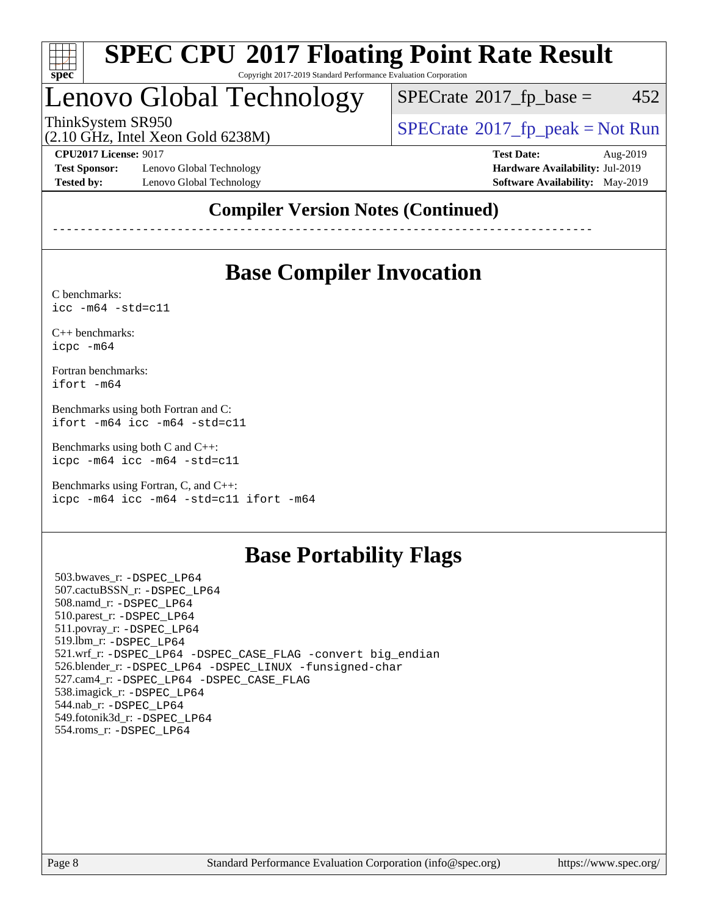

#### **[SPEC CPU](http://www.spec.org/auto/cpu2017/Docs/result-fields.html#SPECCPU2017FloatingPointRateResult)[2017 Floating Point Rate Result](http://www.spec.org/auto/cpu2017/Docs/result-fields.html#SPECCPU2017FloatingPointRateResult)** Copyright 2017-2019 Standard Performance Evaluation Corporation

# Lenovo Global Technology

 $SPECTate@2017_fp\_base = 452$ 

(2.10 GHz, Intel Xeon Gold 6238M)

ThinkSystem SR950<br>  $\begin{array}{c}\n\text{SPECrate} \textcirc 2017\_fp\_peak = Not Run \\
\text{SPECrate} \textcirc 2017\_fp\_peak = Not Run\n\end{array}$  $\begin{array}{c}\n\text{SPECrate} \textcirc 2017\_fp\_peak = Not Run \\
\text{SPECrate} \textcirc 2017\_fp\_peak = Not Run\n\end{array}$  $\begin{array}{c}\n\text{SPECrate} \textcirc 2017\_fp\_peak = Not Run \\
\text{SPECrate} \textcirc 2017\_fp\_peak = Not Run\n\end{array}$ 

**[Test Sponsor:](http://www.spec.org/auto/cpu2017/Docs/result-fields.html#TestSponsor)** Lenovo Global Technology **[Hardware Availability:](http://www.spec.org/auto/cpu2017/Docs/result-fields.html#HardwareAvailability)** Jul-2019 **[Tested by:](http://www.spec.org/auto/cpu2017/Docs/result-fields.html#Testedby)** Lenovo Global Technology **[Software Availability:](http://www.spec.org/auto/cpu2017/Docs/result-fields.html#SoftwareAvailability)** May-2019

**[CPU2017 License:](http://www.spec.org/auto/cpu2017/Docs/result-fields.html#CPU2017License)** 9017 **[Test Date:](http://www.spec.org/auto/cpu2017/Docs/result-fields.html#TestDate)** Aug-2019

### **[Compiler Version Notes \(Continued\)](http://www.spec.org/auto/cpu2017/Docs/result-fields.html#CompilerVersionNotes)**

------------------------------------------------------------------------------

### **[Base Compiler Invocation](http://www.spec.org/auto/cpu2017/Docs/result-fields.html#BaseCompilerInvocation)**

[C benchmarks](http://www.spec.org/auto/cpu2017/Docs/result-fields.html#Cbenchmarks): [icc -m64 -std=c11](http://www.spec.org/cpu2017/results/res2019q3/cpu2017-20190902-17545.flags.html#user_CCbase_intel_icc_64bit_c11_33ee0cdaae7deeeab2a9725423ba97205ce30f63b9926c2519791662299b76a0318f32ddfffdc46587804de3178b4f9328c46fa7c2b0cd779d7a61945c91cd35)

[C++ benchmarks:](http://www.spec.org/auto/cpu2017/Docs/result-fields.html#CXXbenchmarks) [icpc -m64](http://www.spec.org/cpu2017/results/res2019q3/cpu2017-20190902-17545.flags.html#user_CXXbase_intel_icpc_64bit_4ecb2543ae3f1412ef961e0650ca070fec7b7afdcd6ed48761b84423119d1bf6bdf5cad15b44d48e7256388bc77273b966e5eb805aefd121eb22e9299b2ec9d9)

[Fortran benchmarks](http://www.spec.org/auto/cpu2017/Docs/result-fields.html#Fortranbenchmarks): [ifort -m64](http://www.spec.org/cpu2017/results/res2019q3/cpu2017-20190902-17545.flags.html#user_FCbase_intel_ifort_64bit_24f2bb282fbaeffd6157abe4f878425411749daecae9a33200eee2bee2fe76f3b89351d69a8130dd5949958ce389cf37ff59a95e7a40d588e8d3a57e0c3fd751)

[Benchmarks using both Fortran and C](http://www.spec.org/auto/cpu2017/Docs/result-fields.html#BenchmarksusingbothFortranandC): [ifort -m64](http://www.spec.org/cpu2017/results/res2019q3/cpu2017-20190902-17545.flags.html#user_CC_FCbase_intel_ifort_64bit_24f2bb282fbaeffd6157abe4f878425411749daecae9a33200eee2bee2fe76f3b89351d69a8130dd5949958ce389cf37ff59a95e7a40d588e8d3a57e0c3fd751) [icc -m64 -std=c11](http://www.spec.org/cpu2017/results/res2019q3/cpu2017-20190902-17545.flags.html#user_CC_FCbase_intel_icc_64bit_c11_33ee0cdaae7deeeab2a9725423ba97205ce30f63b9926c2519791662299b76a0318f32ddfffdc46587804de3178b4f9328c46fa7c2b0cd779d7a61945c91cd35)

[Benchmarks using both C and C++](http://www.spec.org/auto/cpu2017/Docs/result-fields.html#BenchmarksusingbothCandCXX): [icpc -m64](http://www.spec.org/cpu2017/results/res2019q3/cpu2017-20190902-17545.flags.html#user_CC_CXXbase_intel_icpc_64bit_4ecb2543ae3f1412ef961e0650ca070fec7b7afdcd6ed48761b84423119d1bf6bdf5cad15b44d48e7256388bc77273b966e5eb805aefd121eb22e9299b2ec9d9) [icc -m64 -std=c11](http://www.spec.org/cpu2017/results/res2019q3/cpu2017-20190902-17545.flags.html#user_CC_CXXbase_intel_icc_64bit_c11_33ee0cdaae7deeeab2a9725423ba97205ce30f63b9926c2519791662299b76a0318f32ddfffdc46587804de3178b4f9328c46fa7c2b0cd779d7a61945c91cd35)

[Benchmarks using Fortran, C, and C++:](http://www.spec.org/auto/cpu2017/Docs/result-fields.html#BenchmarksusingFortranCandCXX) [icpc -m64](http://www.spec.org/cpu2017/results/res2019q3/cpu2017-20190902-17545.flags.html#user_CC_CXX_FCbase_intel_icpc_64bit_4ecb2543ae3f1412ef961e0650ca070fec7b7afdcd6ed48761b84423119d1bf6bdf5cad15b44d48e7256388bc77273b966e5eb805aefd121eb22e9299b2ec9d9) [icc -m64 -std=c11](http://www.spec.org/cpu2017/results/res2019q3/cpu2017-20190902-17545.flags.html#user_CC_CXX_FCbase_intel_icc_64bit_c11_33ee0cdaae7deeeab2a9725423ba97205ce30f63b9926c2519791662299b76a0318f32ddfffdc46587804de3178b4f9328c46fa7c2b0cd779d7a61945c91cd35) [ifort -m64](http://www.spec.org/cpu2017/results/res2019q3/cpu2017-20190902-17545.flags.html#user_CC_CXX_FCbase_intel_ifort_64bit_24f2bb282fbaeffd6157abe4f878425411749daecae9a33200eee2bee2fe76f3b89351d69a8130dd5949958ce389cf37ff59a95e7a40d588e8d3a57e0c3fd751)

### **[Base Portability Flags](http://www.spec.org/auto/cpu2017/Docs/result-fields.html#BasePortabilityFlags)**

 503.bwaves\_r: [-DSPEC\\_LP64](http://www.spec.org/cpu2017/results/res2019q3/cpu2017-20190902-17545.flags.html#suite_basePORTABILITY503_bwaves_r_DSPEC_LP64) 507.cactuBSSN\_r: [-DSPEC\\_LP64](http://www.spec.org/cpu2017/results/res2019q3/cpu2017-20190902-17545.flags.html#suite_basePORTABILITY507_cactuBSSN_r_DSPEC_LP64) 508.namd\_r: [-DSPEC\\_LP64](http://www.spec.org/cpu2017/results/res2019q3/cpu2017-20190902-17545.flags.html#suite_basePORTABILITY508_namd_r_DSPEC_LP64) 510.parest\_r: [-DSPEC\\_LP64](http://www.spec.org/cpu2017/results/res2019q3/cpu2017-20190902-17545.flags.html#suite_basePORTABILITY510_parest_r_DSPEC_LP64) 511.povray\_r: [-DSPEC\\_LP64](http://www.spec.org/cpu2017/results/res2019q3/cpu2017-20190902-17545.flags.html#suite_basePORTABILITY511_povray_r_DSPEC_LP64) 519.lbm\_r: [-DSPEC\\_LP64](http://www.spec.org/cpu2017/results/res2019q3/cpu2017-20190902-17545.flags.html#suite_basePORTABILITY519_lbm_r_DSPEC_LP64) 521.wrf\_r: [-DSPEC\\_LP64](http://www.spec.org/cpu2017/results/res2019q3/cpu2017-20190902-17545.flags.html#suite_basePORTABILITY521_wrf_r_DSPEC_LP64) [-DSPEC\\_CASE\\_FLAG](http://www.spec.org/cpu2017/results/res2019q3/cpu2017-20190902-17545.flags.html#b521.wrf_r_baseCPORTABILITY_DSPEC_CASE_FLAG) [-convert big\\_endian](http://www.spec.org/cpu2017/results/res2019q3/cpu2017-20190902-17545.flags.html#user_baseFPORTABILITY521_wrf_r_convert_big_endian_c3194028bc08c63ac5d04de18c48ce6d347e4e562e8892b8bdbdc0214820426deb8554edfa529a3fb25a586e65a3d812c835984020483e7e73212c4d31a38223) 526.blender\_r: [-DSPEC\\_LP64](http://www.spec.org/cpu2017/results/res2019q3/cpu2017-20190902-17545.flags.html#suite_basePORTABILITY526_blender_r_DSPEC_LP64) [-DSPEC\\_LINUX](http://www.spec.org/cpu2017/results/res2019q3/cpu2017-20190902-17545.flags.html#b526.blender_r_baseCPORTABILITY_DSPEC_LINUX) [-funsigned-char](http://www.spec.org/cpu2017/results/res2019q3/cpu2017-20190902-17545.flags.html#user_baseCPORTABILITY526_blender_r_force_uchar_40c60f00ab013830e2dd6774aeded3ff59883ba5a1fc5fc14077f794d777847726e2a5858cbc7672e36e1b067e7e5c1d9a74f7176df07886a243d7cc18edfe67) 527.cam4\_r: [-DSPEC\\_LP64](http://www.spec.org/cpu2017/results/res2019q3/cpu2017-20190902-17545.flags.html#suite_basePORTABILITY527_cam4_r_DSPEC_LP64) [-DSPEC\\_CASE\\_FLAG](http://www.spec.org/cpu2017/results/res2019q3/cpu2017-20190902-17545.flags.html#b527.cam4_r_baseCPORTABILITY_DSPEC_CASE_FLAG) 538.imagick\_r: [-DSPEC\\_LP64](http://www.spec.org/cpu2017/results/res2019q3/cpu2017-20190902-17545.flags.html#suite_basePORTABILITY538_imagick_r_DSPEC_LP64) 544.nab\_r: [-DSPEC\\_LP64](http://www.spec.org/cpu2017/results/res2019q3/cpu2017-20190902-17545.flags.html#suite_basePORTABILITY544_nab_r_DSPEC_LP64) 549.fotonik3d\_r: [-DSPEC\\_LP64](http://www.spec.org/cpu2017/results/res2019q3/cpu2017-20190902-17545.flags.html#suite_basePORTABILITY549_fotonik3d_r_DSPEC_LP64) 554.roms\_r: [-DSPEC\\_LP64](http://www.spec.org/cpu2017/results/res2019q3/cpu2017-20190902-17545.flags.html#suite_basePORTABILITY554_roms_r_DSPEC_LP64)